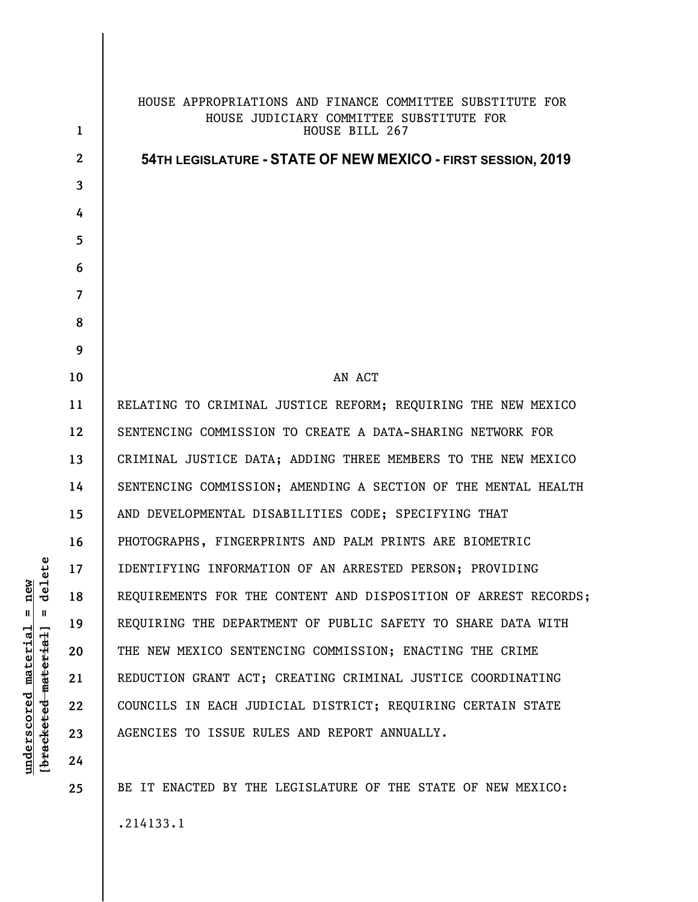| $\mathbf{1}$   | HOUSE APPROPRIATIONS AND FINANCE COMMITTEE SUBSTITUTE FOR<br>HOUSE JUDICIARY COMMITTEE SUBSTITUTE FOR<br>HOUSE BILL 267 |
|----------------|-------------------------------------------------------------------------------------------------------------------------|
| $\mathbf{2}$   | 54TH LEGISLATURE - STATE OF NEW MEXICO - FIRST SESSION, 2019                                                            |
| 3              |                                                                                                                         |
| 4              |                                                                                                                         |
| 5              |                                                                                                                         |
| 6              |                                                                                                                         |
| $\overline{7}$ |                                                                                                                         |
| 8              |                                                                                                                         |
| 9              |                                                                                                                         |
| 10             | AN ACT                                                                                                                  |
| 11             | RELATING TO CRIMINAL JUSTICE REFORM; REQUIRING THE NEW MEXICO                                                           |
| 12             | SENTENCING COMMISSION TO CREATE A DATA-SHARING NETWORK FOR                                                              |
| 13             | CRIMINAL JUSTICE DATA; ADDING THREE MEMBERS TO THE NEW MEXICO                                                           |
| 14             | SENTENCING COMMISSION; AMENDING A SECTION OF THE MENTAL HEALTH                                                          |
| 15             | AND DEVELOPMENTAL DISABILITIES CODE; SPECIFYING THAT                                                                    |
| 16             | PHOTOGRAPHS, FINGERPRINTS AND PALM PRINTS ARE BIOMETRIC                                                                 |
| 17             | IDENTIFYING INFORMATION OF AN ARRESTED PERSON; PROVIDING                                                                |
| 18             | REQUIREMENTS FOR THE CONTENT AND DISPOSITION OF ARREST RECORDS;                                                         |
| 19             | REQUIRING THE DEPARTMENT OF PUBLIC SAFETY TO SHARE DATA WITH                                                            |
| 20             | THE NEW MEXICO SENTENCING COMMISSION; ENACTING THE CRIME                                                                |
| 21             | REDUCTION GRANT ACT; CREATING CRIMINAL JUSTICE COORDINATING                                                             |
| 22             | COUNCILS IN EACH JUDICIAL DISTRICT; REQUIRING CERTAIN STATE                                                             |
| 23             | AGENCIES TO ISSUE RULES AND REPORT ANNUALLY.                                                                            |
| 24             |                                                                                                                         |
| 25             | BE IT ENACTED BY THE LEGISLATURE OF THE STATE OF NEW MEXICO:                                                            |
|                |                                                                                                                         |

 $[bracketeed-materiat] = delete$ **[bracketed material] = delete**  $underscored material = new$ **underscored material = new**

.214133.1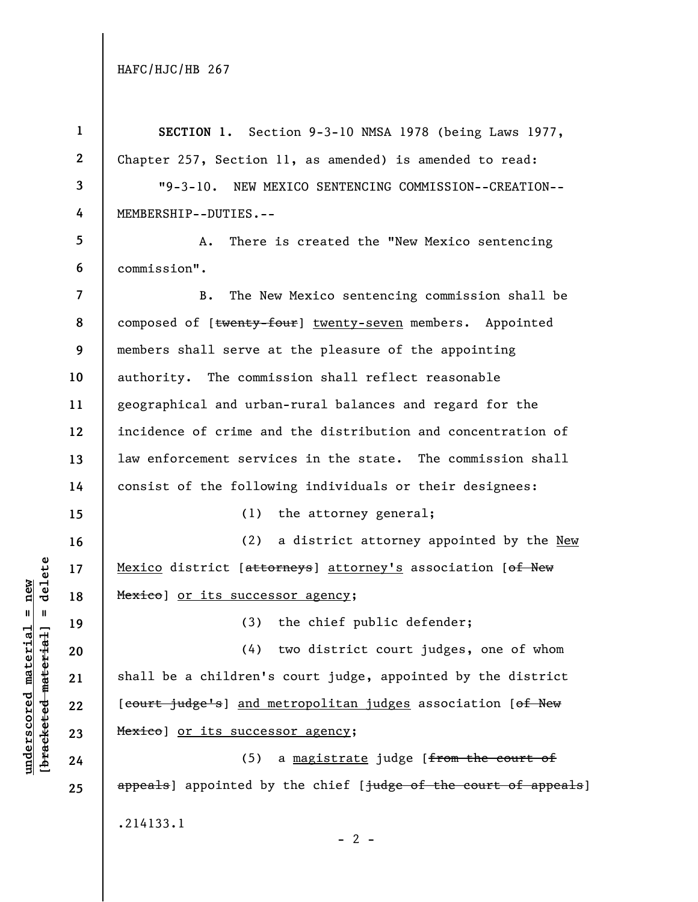**underscored material = new [bracketed material] = delete**

 $\frac{\text{underscored material} = \text{new}}{(\text{bracketed-materiat})}$ 

| $\mathbf{1}$             | SECTION 1. Section 9-3-10 NMSA 1978 (being Laws 1977,           |
|--------------------------|-----------------------------------------------------------------|
| $\mathbf{2}$             | Chapter 257, Section 11, as amended) is amended to read:        |
| $\mathbf{3}$             | "9-3-10. NEW MEXICO SENTENCING COMMISSION--CREATION--           |
| 4                        | MEMBERSHIP--DUTIES.--                                           |
| 5                        | There is created the "New Mexico sentencing<br>А.               |
| 6                        | commission".                                                    |
| $\overline{\phantom{a}}$ | The New Mexico sentencing commission shall be<br>B.             |
| 8                        | composed of [twenty-four] twenty-seven members. Appointed       |
| 9                        | members shall serve at the pleasure of the appointing           |
| 10                       | authority. The commission shall reflect reasonable              |
| 11                       | geographical and urban-rural balances and regard for the        |
| 12                       | incidence of crime and the distribution and concentration of    |
| 13                       | law enforcement services in the state. The commission shall     |
| 14                       | consist of the following individuals or their designees:        |
| 15                       | (1)<br>the attorney general;                                    |
| 16                       | a district attorney appointed by the New<br>(2)                 |
| 17                       | Mexico district [attorneys] attorney's association [of New      |
| 18                       | Mexico] or its successor agency;                                |
| 19                       | (3) the chief public defender;                                  |
| 20                       | two district court judges, one of whom<br>(4)                   |
| 21                       | shall be a children's court judge, appointed by the district    |
| 22                       | [court judge's] and metropolitan judges association [of New     |
| 23                       | Mexico] or its successor agency;                                |
| 24                       | a magistrate judge [from the court of<br>(5)                    |
| 25                       | appeals] appointed by the chief [judge of the court of appeals] |
|                          | .214133.1                                                       |

 $- 2 -$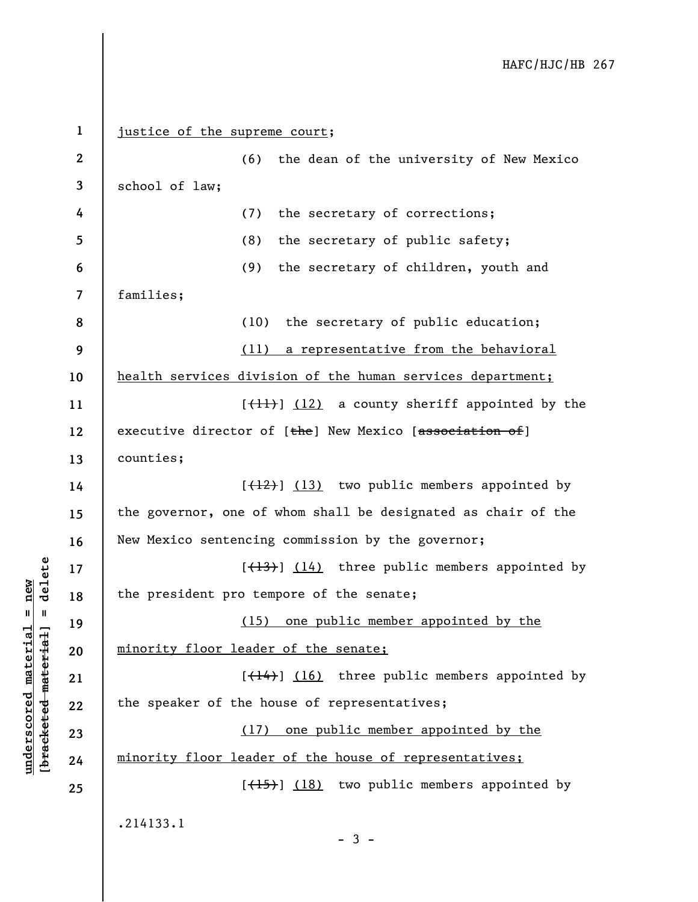**1 2 3 4 5 6 7 8 9 10 11 12 13 14 15 16 17 18 19 20 21 22 23 24 25**  justice of the supreme court; (6) the dean of the university of New Mexico school of law; (7) the secretary of corrections; (8) the secretary of public safety; (9) the secretary of children, youth and families; (10) the secretary of public education; (11) a representative from the behavioral health services division of the human services department;  $[\frac{11}{1}]$  (12) a county sheriff appointed by the executive director of [the] New Mexico [association of] counties;  $[\frac{12}{12}]$  (13) two public members appointed by the governor, one of whom shall be designated as chair of the New Mexico sentencing commission by the governor;  $[\frac{13}{13}]$  (14) three public members appointed by the president pro tempore of the senate; (15) one public member appointed by the minority floor leader of the senate;  $[\frac{14}{14}]$  (16) three public members appointed by the speaker of the house of representatives; (17) one public member appointed by the minority floor leader of the house of representatives;  $[\frac{(15)}{3}]$  (18) two public members appointed by .214133.1

**underscored material = new [bracketed material] = delete**

 $\frac{1}{2}$  intereted material = delete  $underscored material = new$ 

 $-3 -$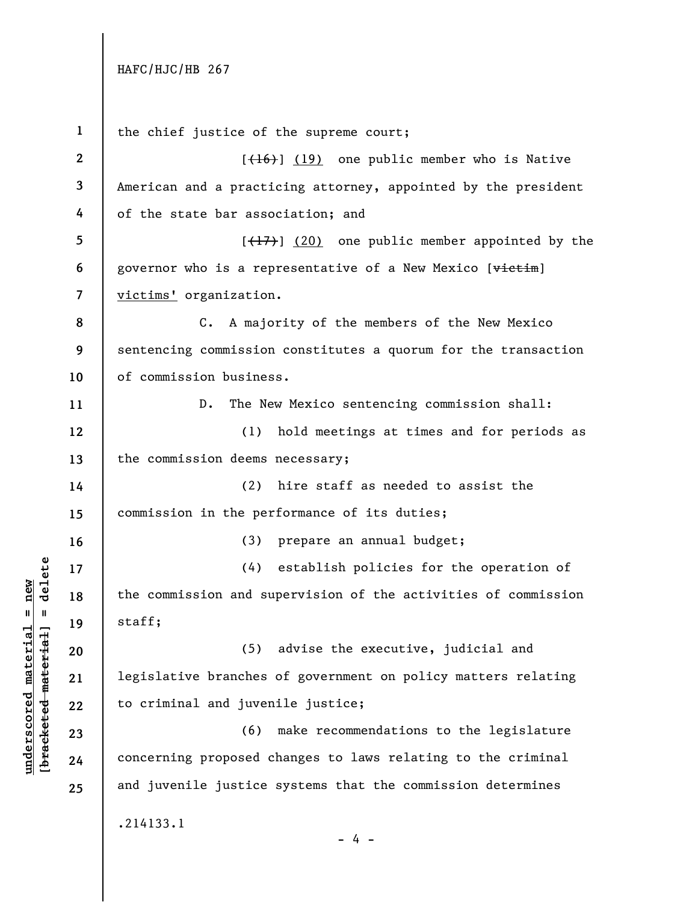**1 2 3 4 5 6 7 8 9 10 11 12 13 14 15 16 17 18 19 20 21 22 23 24 25**  the chief justice of the supreme court;  $[{+16}]$  (19) one public member who is Native American and a practicing attorney, appointed by the president of the state bar association; and  $[\frac{17}{17}]$  (20) one public member appointed by the governor who is a representative of a New Mexico [victim] victims' organization. C. A majority of the members of the New Mexico sentencing commission constitutes a quorum for the transaction of commission business. D. The New Mexico sentencing commission shall: (1) hold meetings at times and for periods as the commission deems necessary; (2) hire staff as needed to assist the commission in the performance of its duties; (3) prepare an annual budget; (4) establish policies for the operation of the commission and supervision of the activities of commission staff; (5) advise the executive, judicial and legislative branches of government on policy matters relating to criminal and juvenile justice; (6) make recommendations to the legislature concerning proposed changes to laws relating to the criminal and juvenile justice systems that the commission determines .214133.1 - 4 -

 $\frac{1}{2}$ **[bracketed material] = delete**  $underscored material = new$ **underscored material = new**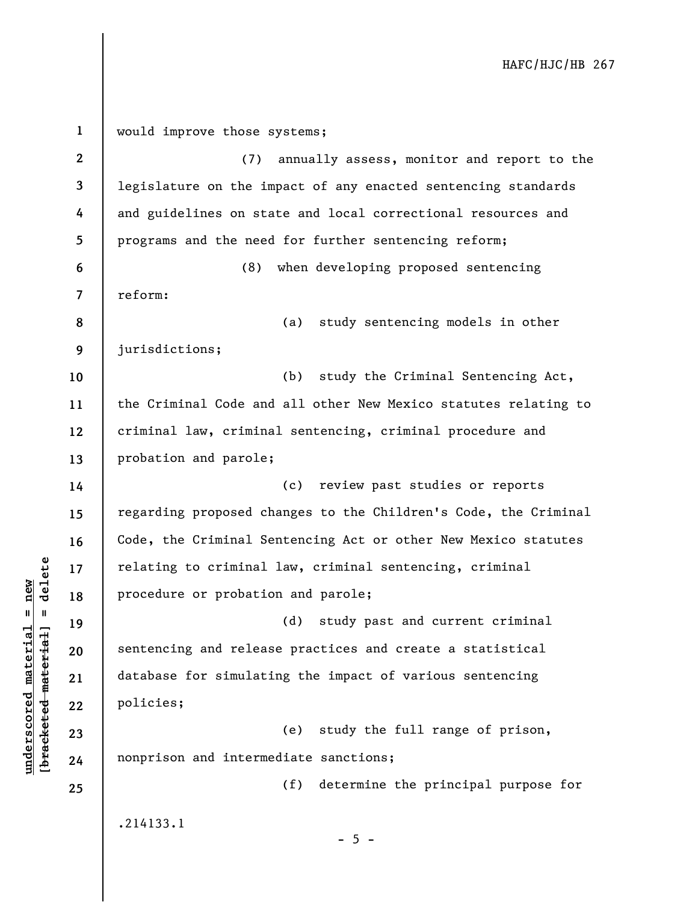| $\mathbf{1}$             | would improve those systems;                                    |
|--------------------------|-----------------------------------------------------------------|
| $\mathbf{2}$             | annually assess, monitor and report to the<br>(7)               |
| 3                        | legislature on the impact of any enacted sentencing standards   |
| 4                        | and guidelines on state and local correctional resources and    |
| 5                        | programs and the need for further sentencing reform;            |
| 6                        | when developing proposed sentencing<br>(8)                      |
| $\overline{\mathcal{L}}$ | reform:                                                         |
| 8                        | (a)<br>study sentencing models in other                         |
| 9                        | jurisdictions;                                                  |
| 10                       | (b)<br>study the Criminal Sentencing Act,                       |
| 11                       | the Criminal Code and all other New Mexico statutes relating to |
| 12                       | criminal law, criminal sentencing, criminal procedure and       |
| 13                       | probation and parole;                                           |
| 14                       | (c) review past studies or reports                              |
| 15                       | regarding proposed changes to the Children's Code, the Criminal |
| 16                       | Code, the Criminal Sentencing Act or other New Mexico statutes  |
| 17                       | relating to criminal law, criminal sentencing, criminal         |
| 18                       | procedure or probation and parole;                              |
| 19                       | (d)<br>study past and current criminal                          |
| 20                       | sentencing and release practices and create a statistical       |
| 21                       | database for simulating the impact of various sentencing        |
| 22                       | policies;                                                       |
| 23                       | study the full range of prison,<br>(e)                          |
| 24                       | nonprison and intermediate sanctions;                           |
| 25                       | (f)<br>determine the principal purpose for                      |
|                          | .214133.1                                                       |
|                          | $-5 -$                                                          |

 $[bracketeed-materiat] = delete$ **[bracketed material] = delete**  $underscored material = new$ **underscored material = new**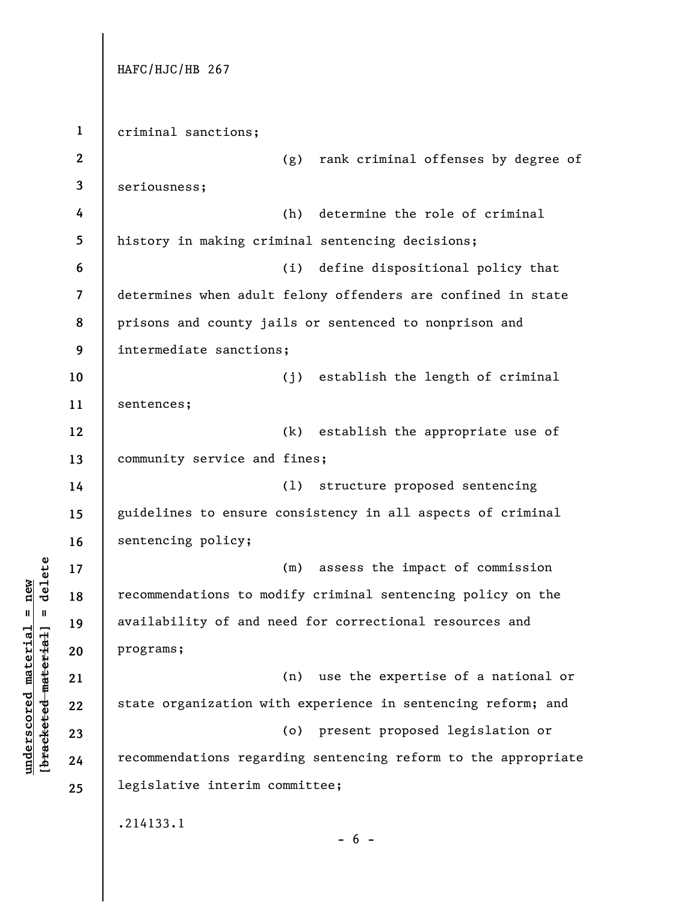**1 2 3 4 5 6 7 8 9 10 11 12 13 14 15 16 17 18 19 20 21 22 23 24 25**  HAFC/HJC/HB 267 criminal sanctions; (g) rank criminal offenses by degree of seriousness; (h) determine the role of criminal history in making criminal sentencing decisions; (i) define dispositional policy that determines when adult felony offenders are confined in state prisons and county jails or sentenced to nonprison and intermediate sanctions; (j) establish the length of criminal sentences; (k) establish the appropriate use of community service and fines; (l) structure proposed sentencing guidelines to ensure consistency in all aspects of criminal sentencing policy; (m) assess the impact of commission recommendations to modify criminal sentencing policy on the availability of and need for correctional resources and programs; (n) use the expertise of a national or state organization with experience in sentencing reform; and (o) present proposed legislation or recommendations regarding sentencing reform to the appropriate legislative interim committee; .214133.1  $- 6 -$ 

# $b$ racketed material] = delete **[bracketed material] = delete**  $underscored material = new$ **underscored material = new**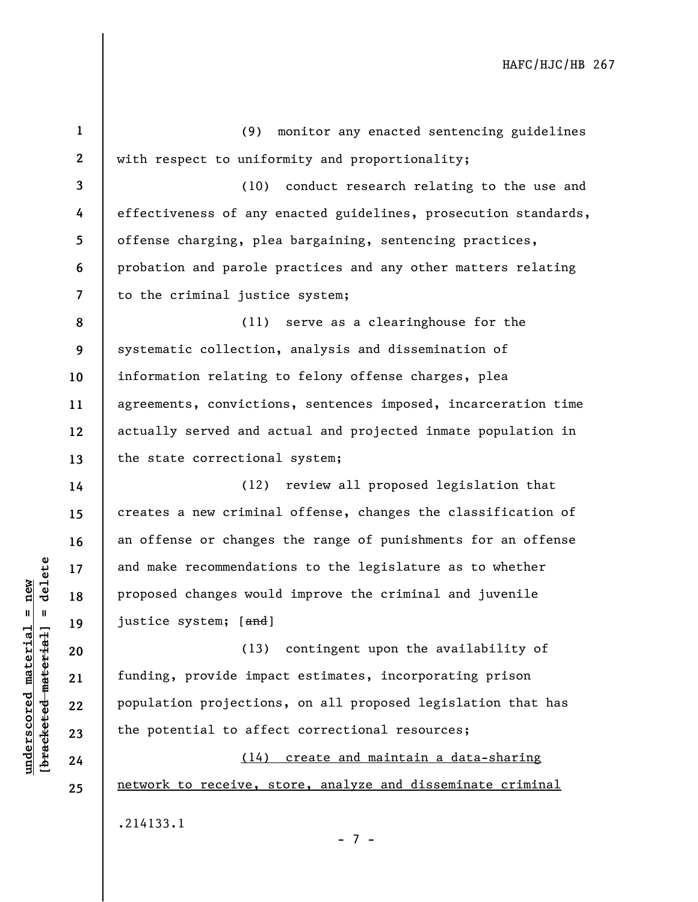**1 2 3 4 5 6 7 8 9 10 11 12 13 14 15 16 17 18 19 20 21 22 23 24 25**  (9) monitor any enacted sentencing guidelines with respect to uniformity and proportionality; (10) conduct research relating to the use and effectiveness of any enacted guidelines, prosecution standards, offense charging, plea bargaining, sentencing practices, probation and parole practices and any other matters relating to the criminal justice system; (11) serve as a clearinghouse for the systematic collection, analysis and dissemination of information relating to felony offense charges, plea agreements, convictions, sentences imposed, incarceration time actually served and actual and projected inmate population in the state correctional system; (12) review all proposed legislation that creates a new criminal offense, changes the classification of an offense or changes the range of punishments for an offense and make recommendations to the legislature as to whether proposed changes would improve the criminal and juvenile justice system; [and] (13) contingent upon the availability of funding, provide impact estimates, incorporating prison population projections, on all proposed legislation that has the potential to affect correctional resources; (14) create and maintain a data-sharing network to receive, store, analyze and disseminate criminal

.214133.1

**underscored material = new [bracketed material] = delete**

 $b$ racketed material] = delete  $underscored material = new$ 

- 7 -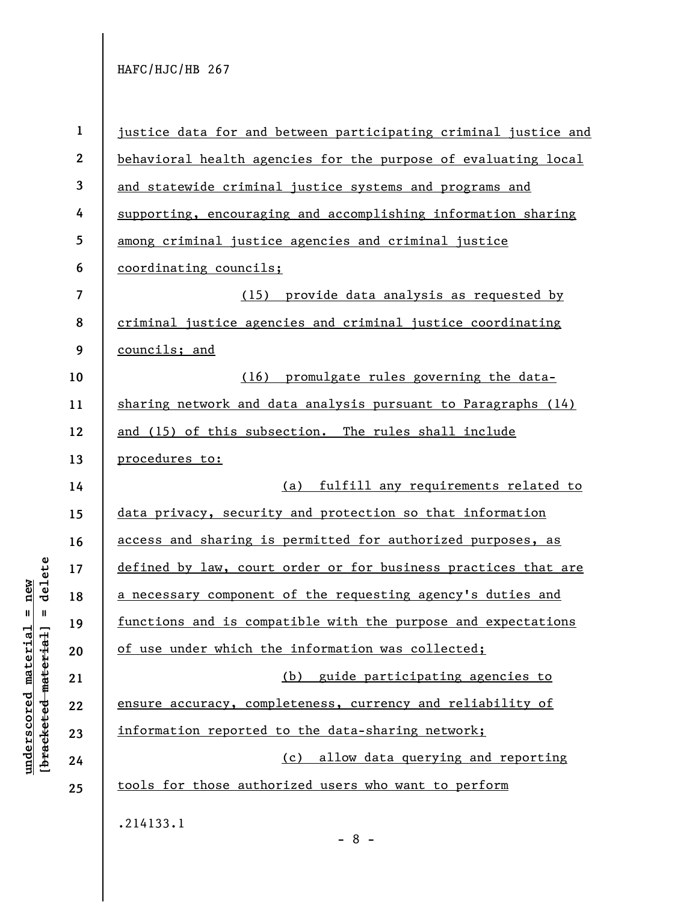| $\mathbf{1}$             | justice data for and between participating criminal justice and      |
|--------------------------|----------------------------------------------------------------------|
| $\boldsymbol{2}$         | behavioral health agencies for the purpose of evaluating local       |
| 3                        | and statewide criminal justice systems and programs and              |
| 4                        | supporting, encouraging and accomplishing information sharing        |
| 5                        | among criminal justice agencies and criminal justice                 |
| 6                        | coordinating councils;                                               |
| $\overline{\mathcal{L}}$ | (15) provide data analysis as requested by                           |
| 8                        | criminal justice agencies and criminal justice coordinating          |
| 9                        | councils; and                                                        |
| 10                       | (16) promulgate rules governing the data-                            |
| 11                       | sharing network and data analysis pursuant to Paragraphs (14)        |
| 12                       | and (15) of this subsection. The rules shall include                 |
| 13                       | procedures to:                                                       |
| 14                       | (a) fulfill any requirements related to                              |
| 15                       | data privacy, security and protection so that information            |
| 16                       | access and sharing is permitted for authorized purposes, as          |
| 17                       | defined by law, court order or for business practices that are       |
| 18                       | a necessary component of the requesting agency's duties and          |
| 19                       | <u>functions and is compatible with the purpose and expectations</u> |
| 20                       | of use under which the information was collected;                    |
| 21                       | (b) guide participating agencies to                                  |
| 22                       | ensure accuracy, completeness, currency and reliability of           |
| 23                       | information reported to the data-sharing network;                    |
| 24                       | (c) allow data querying and reporting                                |
| 25                       | tools for those authorized users who want to perform                 |
|                          | .214133.1                                                            |

- 8 -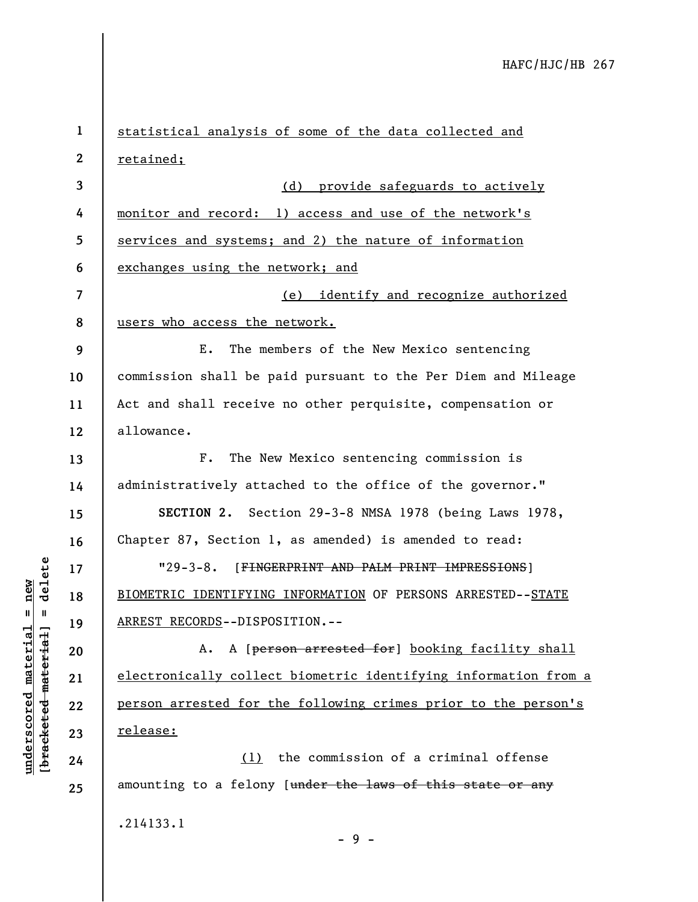**1 2 3 4 5 6 7 8 9 10 11 12 13 14 15 16 17 18 19 20 21 22 23 24 25**  statistical analysis of some of the data collected and retained; (d) provide safeguards to actively monitor and record: 1) access and use of the network's services and systems; and 2) the nature of information exchanges using the network; and (e) identify and recognize authorized users who access the network. E. The members of the New Mexico sentencing commission shall be paid pursuant to the Per Diem and Mileage Act and shall receive no other perquisite, compensation or allowance. F. The New Mexico sentencing commission is administratively attached to the office of the governor." **SECTION 2.** Section 29-3-8 NMSA 1978 (being Laws 1978, Chapter 87, Section 1, as amended) is amended to read: "29-3-8. [FINGERPRINT AND PALM PRINT IMPRESSIONS] BIOMETRIC IDENTIFYING INFORMATION OF PERSONS ARRESTED--STATE ARREST RECORDS--DISPOSITION.-- A. A [person arrested for] booking facility shall electronically collect biometric identifying information from a person arrested for the following crimes prior to the person's release: (1) the commission of a criminal offense amounting to a felony [under the laws of this state or any .214133.1

 $-9 -$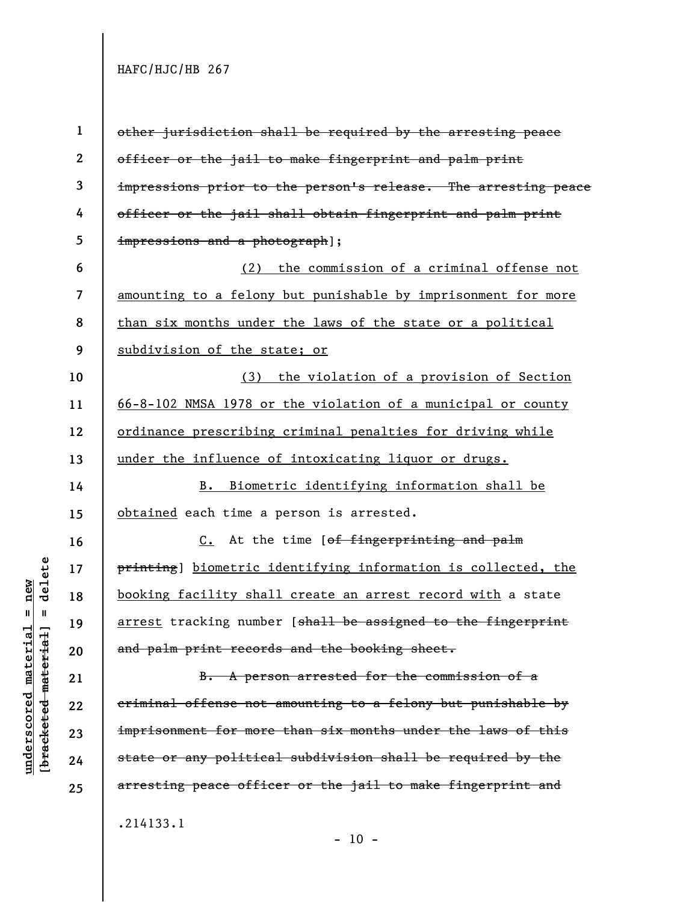| $\mathbf{1}$             | other jurisdiction shall be required by the arresting peace              |
|--------------------------|--------------------------------------------------------------------------|
| $\boldsymbol{2}$         | officer or the jail to make fingerprint and palm print                   |
| 3                        | impressions prior to the person's release. The arresting peace           |
| 4                        | officer or the jail shall obtain fingerprint and palm print              |
| 5                        | impressions and a photograph];                                           |
| 6                        | (2) the commission of a criminal offense not                             |
| $\overline{\mathcal{L}}$ | amounting to a felony but punishable by imprisonment for more            |
| 8                        | than six months under the laws of the state or a political               |
| 9                        | subdivision of the state; or                                             |
| 10                       | (3) the violation of a provision of Section                              |
| 11                       | 66-8-102 NMSA 1978 or the violation of a municipal or county             |
| 12                       | ordinance prescribing criminal penalties for driving while               |
| 13                       | under the influence of intoxicating liquor or drugs.                     |
| 14                       | B. Biometric identifying information shall be                            |
| 15                       | obtained each time a person is arrested.                                 |
| 16                       | C. At the time [of fingerprinting and palm                               |
| 17                       | printing] biometric identifying information is collected, the            |
| 18                       | booking facility shall create an arrest record with a state              |
| 19                       | arrest tracking number [ <del>shall be assigned to the fingerprint</del> |
| 20                       | and palm print records and the booking sheet.                            |
| 21                       | B. A person arrested for the commission of a                             |
| 22                       | criminal offense not amounting to a felony but punishable by             |
| 23                       | imprisonment for more than six months under the laws of this             |
| 24                       | state or any political subdivision shall be required by the              |
| 25                       | arresting peace officer or the jail to make fingerprint and              |
|                          | .214133.1                                                                |

- 10 -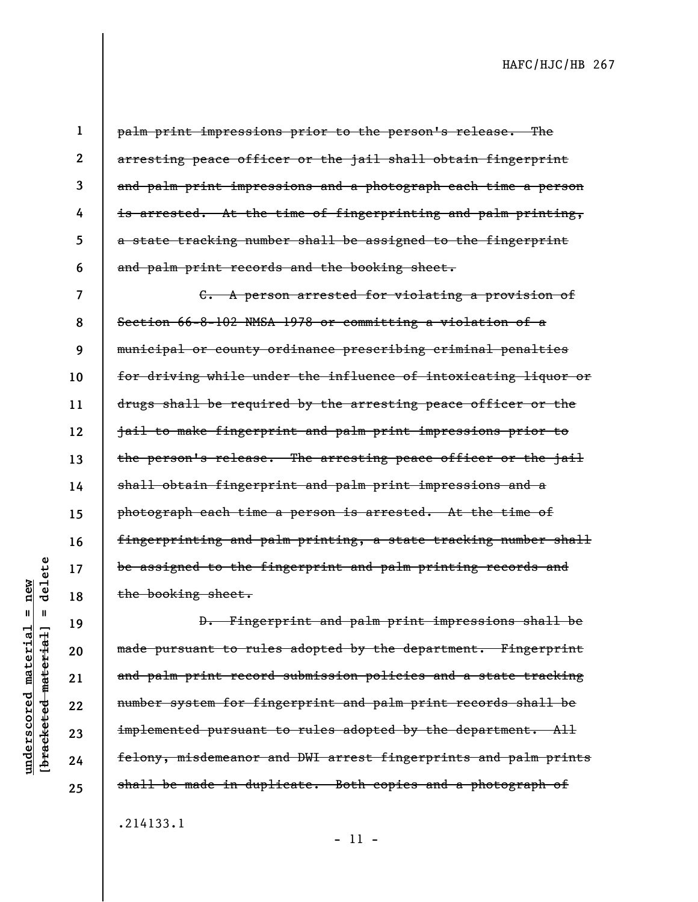**1** 

**2** 

**3** 

**4** 

**5** 

**6** 

palm print impressions prior to the person's release. The arresting peace officer or the jail shall obtain fingerprint and palm print impressions and a photograph each time a person is arrested. At the time of fingerprinting and palm printing, a state tracking number shall be assigned to the fingerprint and palm print records and the booking sheet.

**7 8 9 10 11 12 13 14 15 16 17 18**  C. A person arrested for violating a provision of Section 66-8-102 NMSA 1978 or committing a violation of a municipal or county ordinance prescribing criminal penalties for driving while under the influence of intoxicating liquor or drugs shall be required by the arresting peace officer or the jail to make fingerprint and palm print impressions prior to the person's release. The arresting peace officer or the jail shall obtain fingerprint and palm print impressions and a photograph each time a person is arrested. At the time of fingerprinting and palm printing, a state tracking number shall be assigned to the fingerprint and palm printing records and the booking sheet.

**[bracketed material] = delete**  $anderscored material = new$ **underscored material = new**  $\mathbf{I}$ bracketed material]

delete

**19** 

**20** 

**21** 

**22** 

**23** 

**24** 

**25** 

D. Fingerprint and palm print impressions shall be made pursuant to rules adopted by the department. Fingerprint and palm print record submission policies and a state tracking number system for fingerprint and palm print records shall be implemented pursuant to rules adopted by the department. All felony, misdemeanor and DWI arrest fingerprints and palm prints shall be made in duplicate. Both copies and a photograph of

.214133.1

- 11 -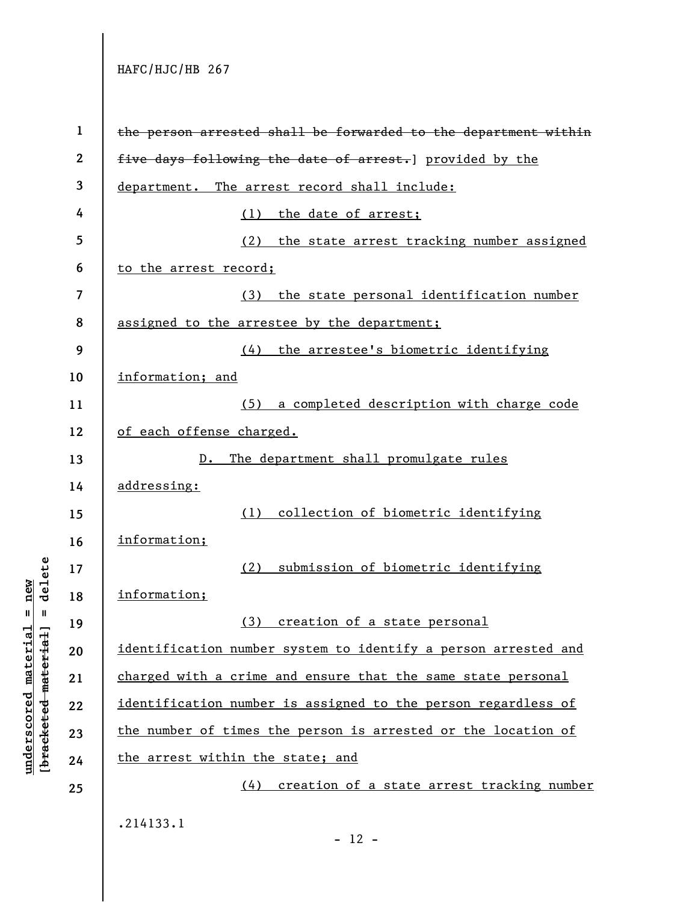**underscored material = new [bracketed material] = delete**

 $b$ racketed material] = delete  $underscored material = new$ 

**1 2 3 4 5 6 7 8 9 10 11 12 13 14 15 16 17 18 19 20 21 22 23 24 25**  the person arrested shall be forwarded to the department within five days following the date of arrest.] provided by the department. The arrest record shall include: (1) the date of arrest; (2) the state arrest tracking number assigned to the arrest record; (3) the state personal identification number assigned to the arrestee by the department; (4) the arrestee's biometric identifying information; and (5) a completed description with charge code of each offense charged. D. The department shall promulgate rules addressing: (1) collection of biometric identifying information; (2) submission of biometric identifying information; (3) creation of a state personal identification number system to identify a person arrested and charged with a crime and ensure that the same state personal identification number is assigned to the person regardless of the number of times the person is arrested or the location of the arrest within the state; and (4) creation of a state arrest tracking number .214133.1

 $- 12 -$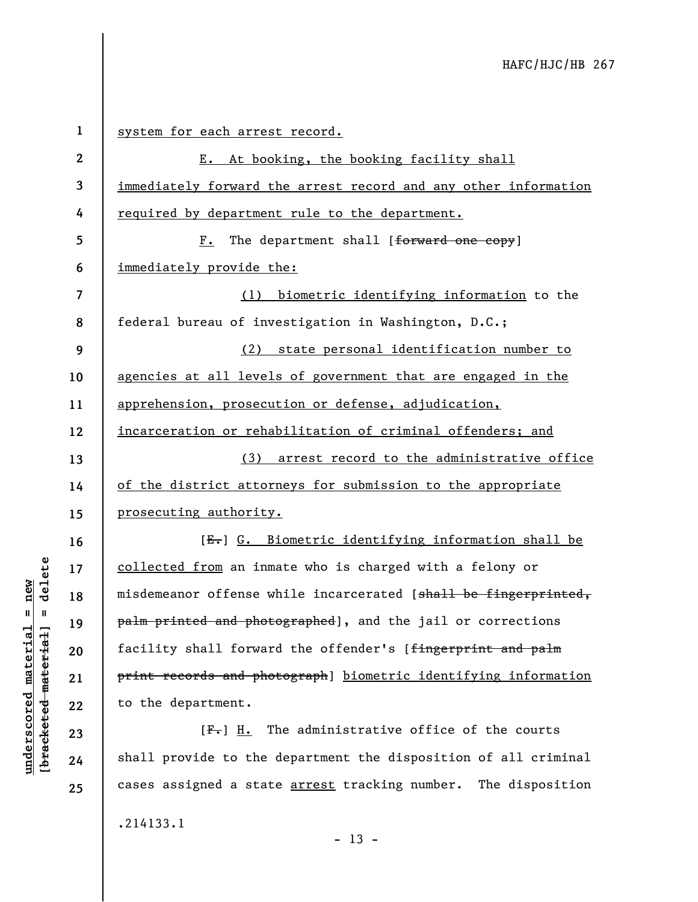| $\mathbf 1$      | system for each arrest record.                                  |
|------------------|-----------------------------------------------------------------|
| $\boldsymbol{2}$ | E. At booking, the booking facility shall                       |
| 3                | immediately forward the arrest record and any other information |
| 4                | required by department rule to the department.                  |
| 5                | The department shall [forward one copy]<br>$F_{\bullet}$        |
| 6                | immediately provide the:                                        |
| 7                | (1) biometric identifying information to the                    |
| 8                | federal bureau of investigation in Washington, D.C.;            |
| 9                | (2) state personal identification number to                     |
| 10               | agencies at all levels of government that are engaged in the    |
| 11               | apprehension, prosecution or defense, adjudication,             |
| 12               | incarceration or rehabilitation of criminal offenders; and      |
| 13               | (3) arrest record to the administrative office                  |
| 14               | of the district attorneys for submission to the appropriate     |
| 15               | <u>prosecuting authority.</u>                                   |
| 16               | [E.] G. Biometric identifying information shall be              |
| 17               | collected from an inmate who is charged with a felony or        |
| 18               | misdemeanor offense while incarcerated [shall be fingerprinted, |
| 19               | palm printed and photographed], and the jail or corrections     |
| 20               | facility shall forward the offender's [fingerprint and palm     |
| 21               | print records and photograph] biometric identifying information |
| 22               | to the department.                                              |
| 23               | $[F-]$ H. The administrative office of the courts               |
| 24               | shall provide to the department the disposition of all criminal |

.214133.1

**underscored material = new [bracketed material] = delete**

 $[**bracketed**-**meterial**] = **delete**$  $underscored material = new$ 

**25** 

- 13 -

cases assigned a state **arrest** tracking number. The disposition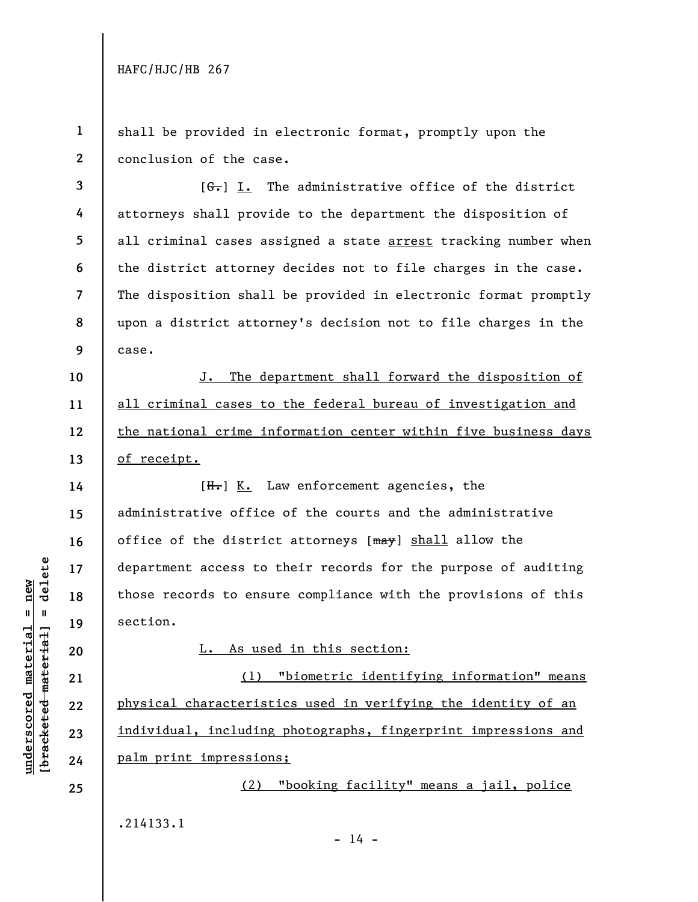**1 2**  shall be provided in electronic format, promptly upon the conclusion of the case.

**3 4 5 6 7 8 9**   $[G<sub>1</sub>]$  I. The administrative office of the district attorneys shall provide to the department the disposition of all criminal cases assigned a state arrest tracking number when the district attorney decides not to file charges in the case. The disposition shall be provided in electronic format promptly upon a district attorney's decision not to file charges in the case.

J. The department shall forward the disposition of all criminal cases to the federal bureau of investigation and the national crime information center within five business days of receipt.

 $[H<sub>1</sub>]$  K. Law enforcement agencies, the administrative office of the courts and the administrative office of the district attorneys  $[\text{max}]$  shall allow the department access to their records for the purpose of auditing those records to ensure compliance with the provisions of this section.

L. As used in this section:

(1) "biometric identifying information" means physical characteristics used in verifying the identity of an individual, including photographs, fingerprint impressions and palm print impressions;

(2) "booking facility" means a jail, police .214133.1

 $- 14 -$ 

 $b$ racketed material] = delete **[bracketed material] = delete**  $underscored material = new$ **underscored material = new**

**10** 

**11** 

**12** 

**13** 

**14** 

**15** 

**16** 

**17** 

**18** 

**19** 

**20** 

**21** 

**22** 

**23** 

**24** 

**25**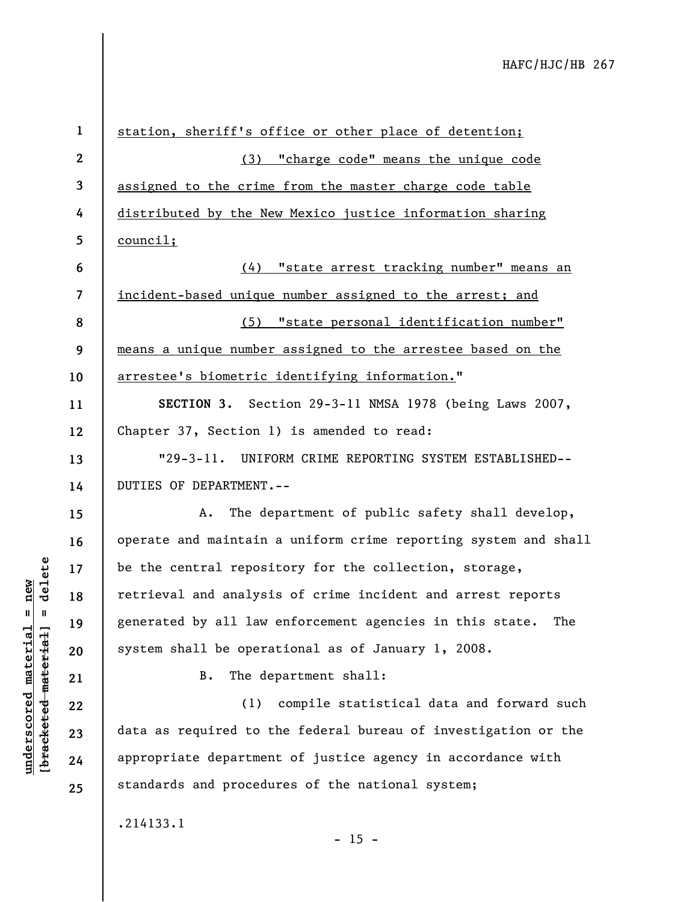| $\mathbf{1}$             | station, sheriff's office or other place of detention;          |
|--------------------------|-----------------------------------------------------------------|
|                          |                                                                 |
| $\mathbf{2}$             | (3) "charge code" means the unique code                         |
| $\mathbf{3}$             | assigned to the crime from the master charge code table         |
| 4                        | distributed by the New Mexico justice information sharing       |
| 5                        | council;                                                        |
| 6                        | (4) "state arrest tracking number" means an                     |
| $\overline{\mathcal{L}}$ | incident-based unique number assigned to the arrest; and        |
| 8                        | (5) "state personal identification number"                      |
| 9                        | means a unique number assigned to the arrestee based on the     |
| 10                       | arrestee's biometric identifying information."                  |
| 11                       | SECTION 3. Section 29-3-11 NMSA 1978 (being Laws 2007,          |
| 12                       | Chapter 37, Section 1) is amended to read:                      |
| 13                       | "29-3-11. UNIFORM CRIME REPORTING SYSTEM ESTABLISHED--          |
| 14                       | DUTIES OF DEPARTMENT.--                                         |
| 15                       | The department of public safety shall develop,<br>Α.            |
| 16                       | operate and maintain a uniform crime reporting system and shall |
| 17                       | be the central repository for the collection, storage,          |
| 18                       | retrieval and analysis of crime incident and arrest reports     |
| 19                       | generated by all law enforcement agencies in this state.<br>The |
| 20                       | system shall be operational as of January 1, 2008.              |
| 21                       | The department shall:<br><b>B.</b>                              |
| 22                       | compile statistical data and forward such<br>(1)                |
| 23                       | data as required to the federal bureau of investigation or the  |
| 24                       | appropriate department of justice agency in accordance with     |
| 25                       | standards and procedures of the national system;                |
|                          | .214133.1<br>$-15 -$                                            |

# $\frac{\text{underscored material} = \text{new}}{(\text{bracketed material}) = \text{dev}}$ **[bracketed material] = delete underscored material = new**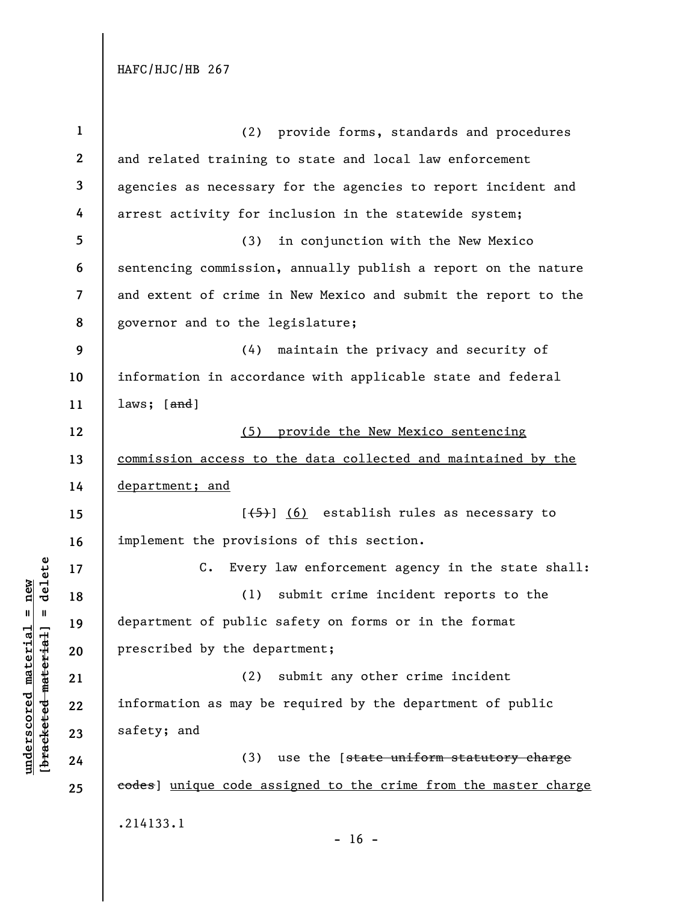| $\mathbf{1}$             | (2) provide forms, standards and procedures                       |
|--------------------------|-------------------------------------------------------------------|
| $\mathbf{2}$             | and related training to state and local law enforcement           |
| 3                        | agencies as necessary for the agencies to report incident and     |
| 4                        | arrest activity for inclusion in the statewide system;            |
| 5                        | (3)<br>in conjunction with the New Mexico                         |
| 6                        | sentencing commission, annually publish a report on the nature    |
| $\overline{\mathcal{L}}$ | and extent of crime in New Mexico and submit the report to the    |
| 8                        | governor and to the legislature;                                  |
| 9                        | maintain the privacy and security of<br>(4)                       |
| 10                       | information in accordance with applicable state and federal       |
| 11                       | laws; $[and]$                                                     |
| 12                       | (5) provide the New Mexico sentencing                             |
| 13                       | commission access to the data collected and maintained by the     |
| 14                       | department; and                                                   |
| 15                       | $[\frac{1}{5}]$ (6) establish rules as necessary to               |
| 16                       | implement the provisions of this section.                         |
| 17                       | $C_{\bullet}$<br>Every law enforcement agency in the state shall: |
| 18                       | (1)<br>submit crime incident reports to the                       |
| 19                       | department of public safety on forms or in the format             |
| 20                       | prescribed by the department;                                     |
| 21                       | (2)<br>submit any other crime incident                            |
| 22                       | information as may be required by the department of public        |
| 23                       | safety; and                                                       |
| 24                       | (3)<br>use the [state uniform statutory charge                    |
| 25                       | eodes) unique code assigned to the crime from the master charge   |
|                          | .214133.1                                                         |
|                          |                                                                   |

 $[bracketeed-materiat] = delete$ **[bracketed material] = delete**  $underscored material = new$ **underscored material = new**

- 16 -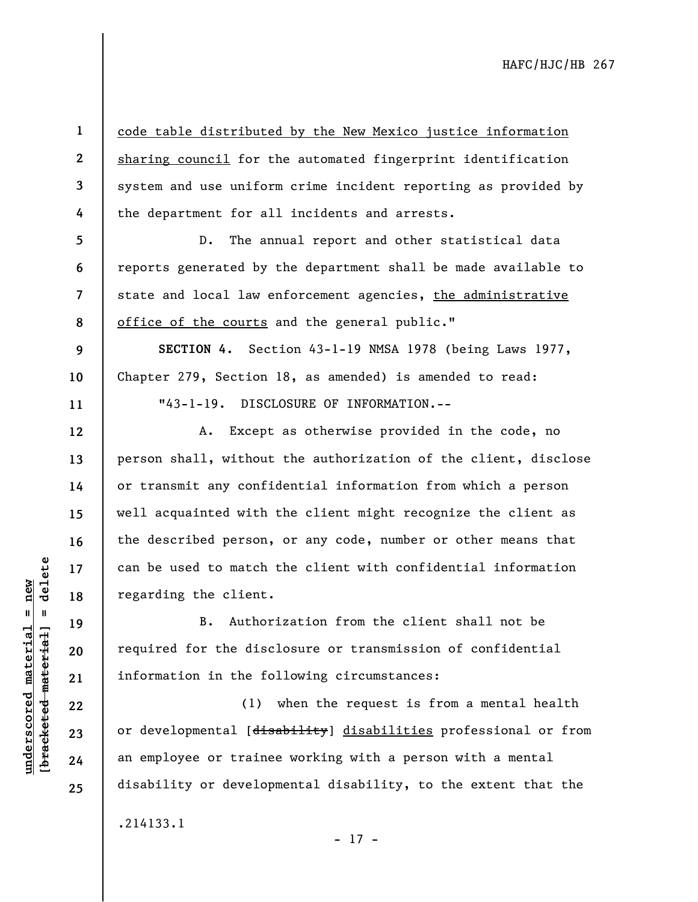**2 3**  code table distributed by the New Mexico justice information sharing council for the automated fingerprint identification system and use uniform crime incident reporting as provided by the department for all incidents and arrests.

**8**  D. The annual report and other statistical data reports generated by the department shall be made available to state and local law enforcement agencies, the administrative office of the courts and the general public."

**SECTION 4.** Section 43-1-19 NMSA 1978 (being Laws 1977, Chapter 279, Section 18, as amended) is amended to read: "43-1-19. DISCLOSURE OF INFORMATION.--

A. Except as otherwise provided in the code, no person shall, without the authorization of the client, disclose or transmit any confidential information from which a person well acquainted with the client might recognize the client as the described person, or any code, number or other means that can be used to match the client with confidential information regarding the client.

B. Authorization from the client shall not be required for the disclosure or transmission of confidential information in the following circumstances:

(1) when the request is from a mental health or developmental [disability] disabilities professional or from an employee or trainee working with a person with a mental disability or developmental disability, to the extent that the

.214133.1

- 17 -

 $b$ racketed material] = delete **[bracketed material] = delete**  $underscored material = new$ **underscored material = new**

**1** 

**4** 

**5** 

**6** 

**7** 

**9** 

**10** 

**11** 

**12** 

**13** 

**14** 

**15** 

**16** 

**17** 

**18** 

**19** 

**20** 

**21** 

**22** 

**23** 

**24** 

**25**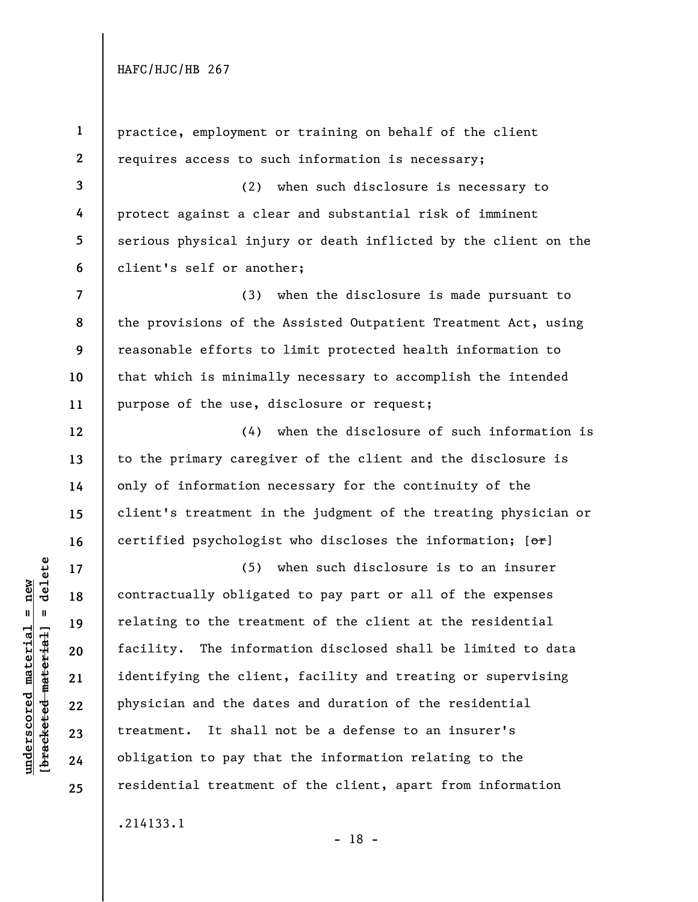**1** 

**2 3 4 5 6 7 8 9 10 11 12 13 14 15 16 17 18 19 20 21 22 23 24 25**  practice, employment or training on behalf of the client requires access to such information is necessary; (2) when such disclosure is necessary to protect against a clear and substantial risk of imminent serious physical injury or death inflicted by the client on the client's self or another; (3) when the disclosure is made pursuant to the provisions of the Assisted Outpatient Treatment Act, using reasonable efforts to limit protected health information to that which is minimally necessary to accomplish the intended purpose of the use, disclosure or request; (4) when the disclosure of such information is to the primary caregiver of the client and the disclosure is only of information necessary for the continuity of the client's treatment in the judgment of the treating physician or certified psychologist who discloses the information;  $[ $\theta$  +  $\theta$ ]$ (5) when such disclosure is to an insurer contractually obligated to pay part or all of the expenses relating to the treatment of the client at the residential facility. The information disclosed shall be limited to data identifying the client, facility and treating or supervising physician and the dates and duration of the residential treatment. It shall not be a defense to an insurer's obligation to pay that the information relating to the residential treatment of the client, apart from information .214133.1 - 18 -

delete **[bracketed material] = delete**  $underscored material = new$ **underscored material = new**  $\frac{1}{2}$  bracketed material =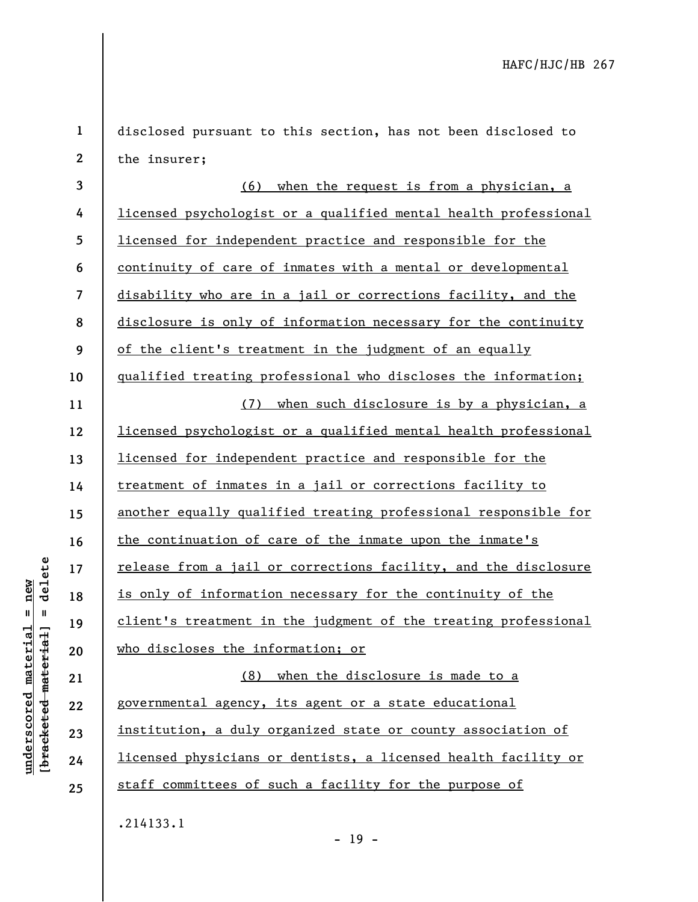| $\mathbf 1$      | disclosed pursuant to this section, has not been disclosed to    |
|------------------|------------------------------------------------------------------|
| $\boldsymbol{2}$ | the insurer;                                                     |
| 3                | (6)<br>when the request is from a physician, a                   |
| 4                | licensed psychologist or a qualified mental health professional  |
| 5                | licensed for independent practice and responsible for the        |
| 6                | continuity of care of inmates with a mental or developmental     |
| 7                | disability who are in a jail or corrections facility, and the    |
| 8                | disclosure is only of information necessary for the continuity   |
| 9                | of the client's treatment in the judgment of an equally          |
| 10               | qualified treating professional who discloses the information;   |
| 11               | (7) when such disclosure is by a physician, a                    |
| 12               | licensed psychologist or a qualified mental health professional  |
| 13               | <u>licensed for independent practice and responsible for the</u> |
| 14               | treatment of inmates in a jail or corrections facility to        |
| 15               | another equally qualified treating professional responsible for  |
| 16               | the continuation of care of the inmate upon the inmate's         |
| 17               | release from a jail or corrections facility, and the disclosure  |
| 18               | is only of information necessary for the continuity of the       |
| 19               | client's treatment in the judgment of the treating professional  |
| 20               | who discloses the information; or                                |
| 21               | (8) when the disclosure is made to a                             |
| 22               | governmental agency, its agent or a state educational            |
| 23               | institution, a duly organized state or county association of     |
| 24               | licensed physicians or dentists, a licensed health facility or   |
| 25               | staff committees of such a facility for the purpose of           |
|                  | .214133.1                                                        |

 $[bracketeed-material] = delete$ **[bracketed material] = delete**  $underscored material = new$ **underscored material = new**

- 19 -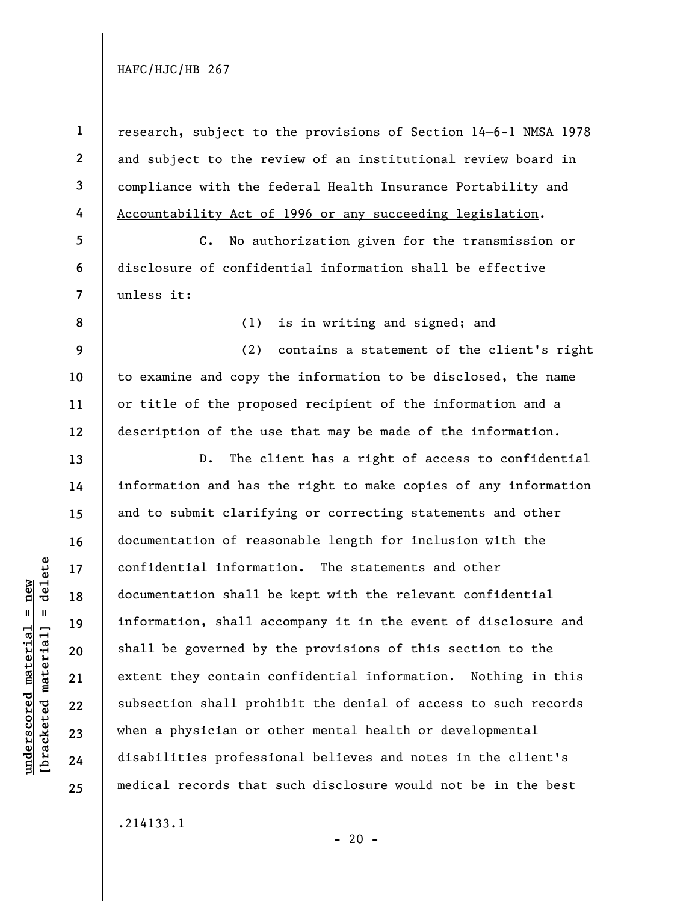$b$ racketed material] = delete **[bracketed material] = delete**  $underscored material = new$ **underscored material = new**

**2 3 4**  research, subject to the provisions of Section 14–6-1 NMSA 1978 and subject to the review of an institutional review board in compliance with the federal Health Insurance Portability and Accountability Act of 1996 or any succeeding legislation.

**7**  C. No authorization given for the transmission or disclosure of confidential information shall be effective unless it:

**8** 

**9** 

**10** 

**11** 

**12** 

**13** 

**14** 

**15** 

**16** 

**17** 

**18** 

**19** 

**20** 

**21** 

**22** 

**23** 

**24** 

**25** 

**5** 

**6** 

**1** 

(1) is in writing and signed; and

(2) contains a statement of the client's right to examine and copy the information to be disclosed, the name or title of the proposed recipient of the information and a description of the use that may be made of the information.

D. The client has a right of access to confidential information and has the right to make copies of any information and to submit clarifying or correcting statements and other documentation of reasonable length for inclusion with the confidential information. The statements and other documentation shall be kept with the relevant confidential information, shall accompany it in the event of disclosure and shall be governed by the provisions of this section to the extent they contain confidential information. Nothing in this subsection shall prohibit the denial of access to such records when a physician or other mental health or developmental disabilities professional believes and notes in the client's medical records that such disclosure would not be in the best

.214133.1

 $- 20 -$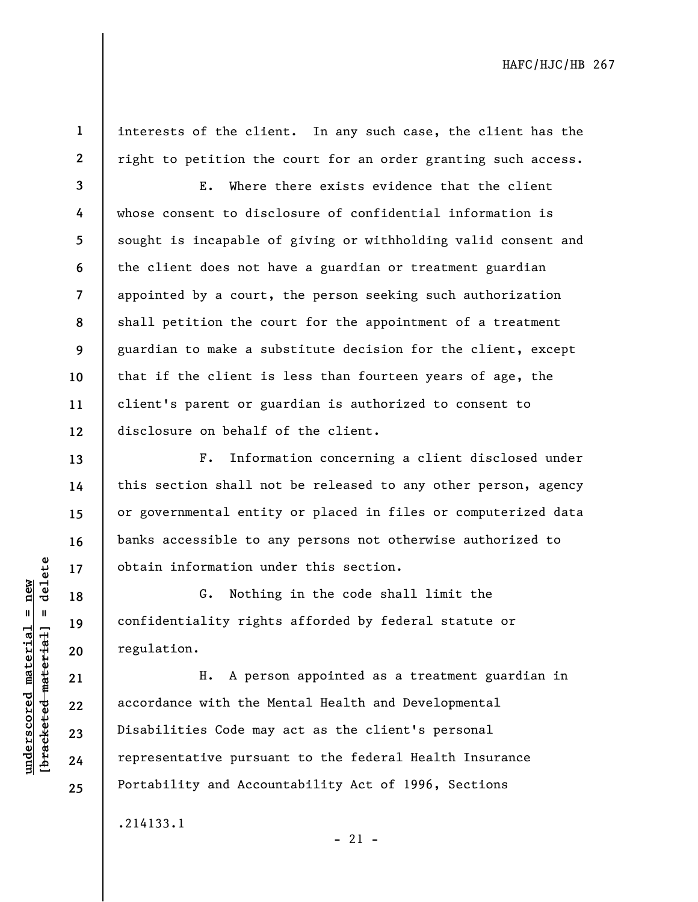**1 2** 

**13** 

**14** 

**15** 

**16** 

**17** 

**18** 

**19** 

**20** 

**21** 

**22** 

**23** 

**24** 

**25** 

interests of the client. In any such case, the client has the right to petition the court for an order granting such access.

**3 4 5 6 7 8 9 10 11 12**  E. Where there exists evidence that the client whose consent to disclosure of confidential information is sought is incapable of giving or withholding valid consent and the client does not have a guardian or treatment guardian appointed by a court, the person seeking such authorization shall petition the court for the appointment of a treatment guardian to make a substitute decision for the client, except that if the client is less than fourteen years of age, the client's parent or guardian is authorized to consent to disclosure on behalf of the client.

F. Information concerning a client disclosed under this section shall not be released to any other person, agency or governmental entity or placed in files or computerized data banks accessible to any persons not otherwise authorized to obtain information under this section.

G. Nothing in the code shall limit the confidentiality rights afforded by federal statute or regulation.

H. A person appointed as a treatment guardian in accordance with the Mental Health and Developmental Disabilities Code may act as the client's personal representative pursuant to the federal Health Insurance Portability and Accountability Act of 1996, Sections

 $- 21 -$ 

.214133.1

 $b$ racketed material] = delete **[bracketed material] = delete**  $underscored material = new$ **underscored material = new**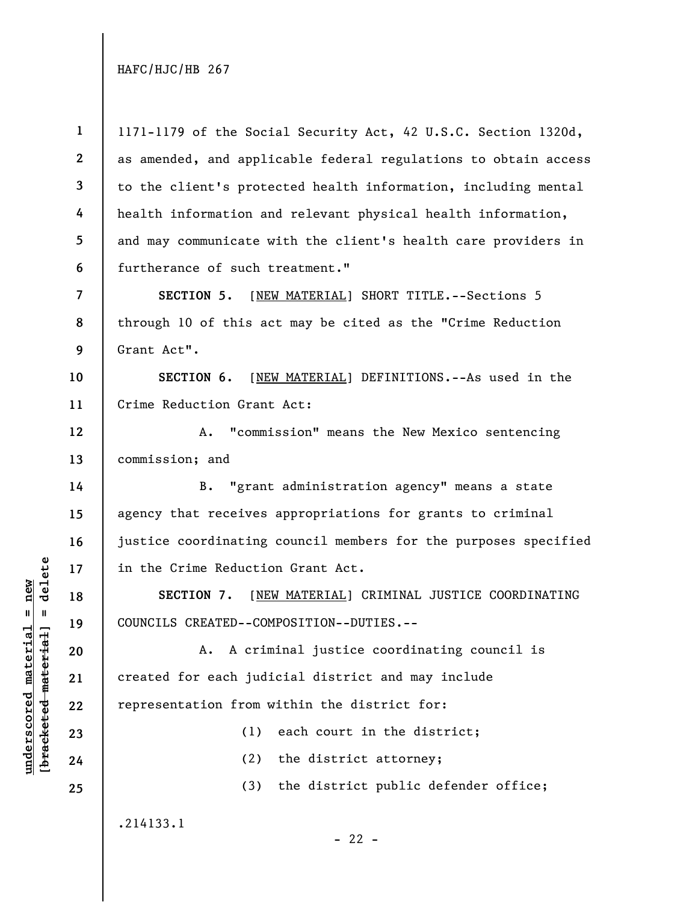**1 2 3 4 5 6**  1171-1179 of the Social Security Act, 42 U.S.C. Section 1320d, as amended, and applicable federal regulations to obtain access to the client's protected health information, including mental health information and relevant physical health information, and may communicate with the client's health care providers in furtherance of such treatment."

**SECTION 5.** [NEW MATERIAL] SHORT TITLE.--Sections 5 through 10 of this act may be cited as the "Crime Reduction Grant Act".

**10 11 SECTION 6.** [NEW MATERIAL] DEFINITIONS.--As used in the Crime Reduction Grant Act:

**12 13**  A. "commission" means the New Mexico sentencing commission; and

B. "grant administration agency" means a state agency that receives appropriations for grants to criminal justice coordinating council members for the purposes specified in the Crime Reduction Grant Act.

**SECTION 7.** [NEW MATERIAL] CRIMINAL JUSTICE COORDINATING COUNCILS CREATED--COMPOSITION--DUTIES.--

A. A criminal justice coordinating council is created for each judicial district and may include representation from within the district for:

(1) each court in the district;

(2) the district attorney;

 $- 22 -$ 

(3) the district public defender office;

.214133.1

 $\frac{1}{2}$  intereted material = delete **[bracketed material] = delete**  $underscored material = new$ **underscored material = new**

**7** 

**8** 

**9** 

**14** 

**15** 

**16** 

**17** 

**18** 

**19** 

**20** 

**21** 

**22** 

**23** 

**24** 

**25**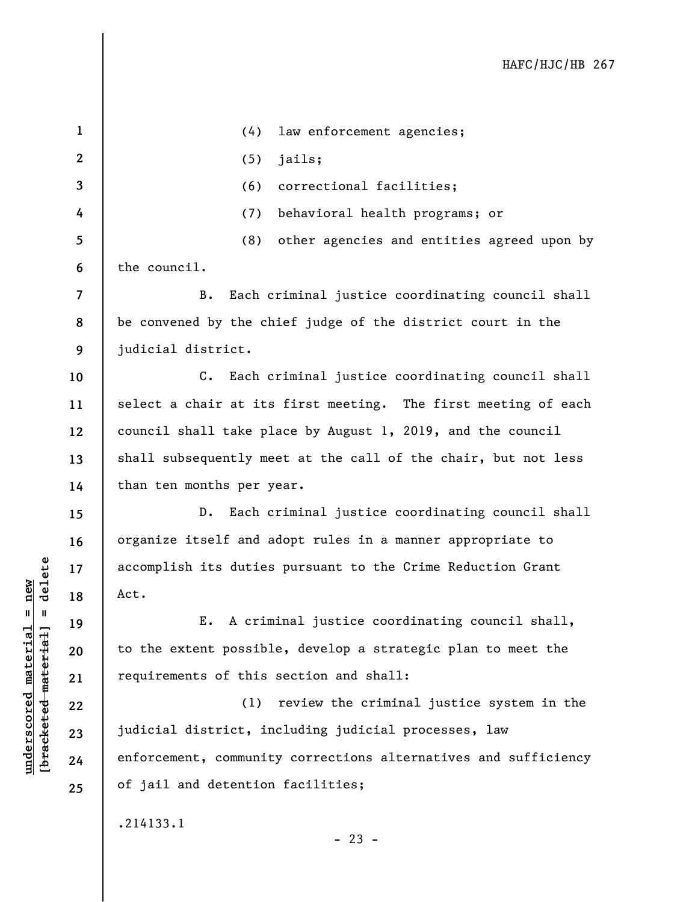| $\mathbf 1$              | law enforcement agencies;<br>(4)                                |
|--------------------------|-----------------------------------------------------------------|
| $\mathbf{2}$             | (5)<br>jails;                                                   |
| 3                        | (6)<br>correctional facilities;                                 |
| 4                        | behavioral health programs; or<br>(7)                           |
| 5                        | (8)<br>other agencies and entities agreed upon by               |
| 6                        | the council.                                                    |
| $\overline{\mathcal{L}}$ | Each criminal justice coordinating council shall<br>В.          |
| 8                        | be convened by the chief judge of the district court in the     |
| 9                        | judicial district.                                              |
| 10                       | Each criminal justice coordinating council shall<br>$C$ .       |
| 11                       | select a chair at its first meeting. The first meeting of each  |
| 12                       | council shall take place by August 1, 2019, and the council     |
| 13                       | shall subsequently meet at the call of the chair, but not less  |
| 14                       | than ten months per year.                                       |
| 15                       | Each criminal justice coordinating council shall<br>$D$ .       |
| 16                       | organize itself and adopt rules in a manner appropriate to      |
| 17                       | accomplish its duties pursuant to the Crime Reduction Grant     |
| 18                       | Act.                                                            |
| 19                       | A criminal justice coordinating council shall,<br>Ε.            |
| 20                       | to the extent possible, develop a strategic plan to meet the    |
| 21                       | requirements of this section and shall:                         |
| 22                       | (1) review the criminal justice system in the                   |
| 23                       | judicial district, including judicial processes, law            |
| 24                       | enforcement, community corrections alternatives and sufficiency |
| 25                       | of jail and detention facilities;                               |
|                          | .214133.1                                                       |

 $[bracketed-material] = delete$ **[bracketed material] = delete**  $underscored material = new$ **underscored material = new**

- 23 -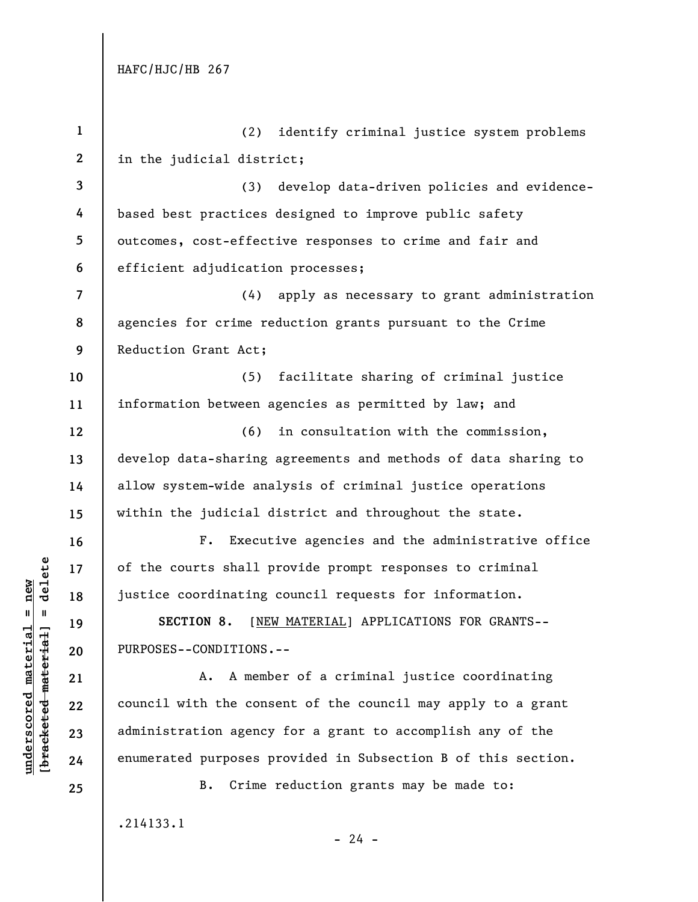| $\mathbf{1}$             | (2)<br>identify criminal justice system problems               |
|--------------------------|----------------------------------------------------------------|
| $\mathbf{2}$             | in the judicial district;                                      |
| $\mathbf{3}$             | (3) develop data-driven policies and evidence-                 |
| 4                        | based best practices designed to improve public safety         |
| 5                        | outcomes, cost-effective responses to crime and fair and       |
| 6                        | efficient adjudication processes;                              |
| $\overline{\mathcal{L}}$ | (4) apply as necessary to grant administration                 |
| 8                        | agencies for crime reduction grants pursuant to the Crime      |
| 9                        | Reduction Grant Act;                                           |
| 10                       | facilitate sharing of criminal justice<br>(5)                  |
| 11                       | information between agencies as permitted by law; and          |
| 12                       | in consultation with the commission,<br>(6)                    |
| 13                       | develop data-sharing agreements and methods of data sharing to |
| 14                       | allow system-wide analysis of criminal justice operations      |
| 15                       | within the judicial district and throughout the state.         |
| 16                       | Executive agencies and the administrative office<br>$F$ .      |
| 17                       | of the courts shall provide prompt responses to criminal       |
| 18                       | justice coordinating council requests for information.         |
| 19                       | [NEW MATERIAL] APPLICATIONS FOR GRANTS--<br>SECTION 8.         |
| 20                       | PURPOSES--CONDITIONS.--                                        |
| 21                       | A. A member of a criminal justice coordinating                 |
| 22                       | council with the consent of the council may apply to a grant   |
| 23                       | administration agency for a grant to accomplish any of the     |
| 24                       | enumerated purposes provided in Subsection B of this section.  |
| 25                       | Crime reduction grants may be made to:<br>В.                   |
|                          | .214133.1                                                      |

 $\frac{\text{underscored material = new}}{\text{theredef} \cdot \text{meter} \cdot \text{t} + \text{at}}$ **[bracketed material] = delete underscored material = new**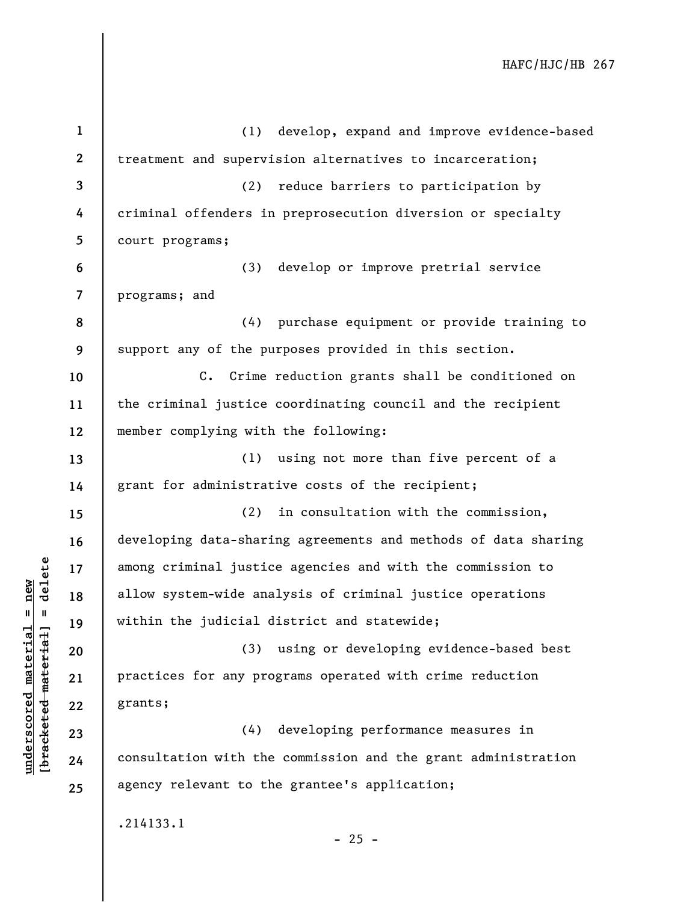| $\mathbf{1}$ | (1) develop, expand and improve evidence-based                 |
|--------------|----------------------------------------------------------------|
| $\mathbf{2}$ | treatment and supervision alternatives to incarceration;       |
| $\mathbf{3}$ | reduce barriers to participation by<br>(2)                     |
| 4            | criminal offenders in preprosecution diversion or specialty    |
| 5            | court programs;                                                |
| 6            | develop or improve pretrial service<br>(3)                     |
| 7            | programs; and                                                  |
| 8            | (4) purchase equipment or provide training to                  |
| 9            | support any of the purposes provided in this section.          |
| 10           | C. Crime reduction grants shall be conditioned on              |
| 11           | the criminal justice coordinating council and the recipient    |
| 12           | member complying with the following:                           |
| 13           | (1)<br>using not more than five percent of a                   |
| 14           | grant for administrative costs of the recipient;               |
| 15           | in consultation with the commission,<br>(2)                    |
| 16           | developing data-sharing agreements and methods of data sharing |
| 17           | among criminal justice agencies and with the commission to     |
| 18           | allow system-wide analysis of criminal justice operations      |
| 19           | within the judicial district and statewide;                    |
| 20           | using or developing evidence-based best<br>(3)                 |
| 21           | practices for any programs operated with crime reduction       |
| 22           | grants;                                                        |
| 23           | developing performance measures in<br>(4)                      |
| 24           | consultation with the commission and the grant administration  |
| 25           | agency relevant to the grantee's application;                  |
|              | .214133.1<br>$-25 -$                                           |
|              |                                                                |

**underscored material = new [bracketed material] = delete**

 $[bracketeed-materiat] = delete$  $underscored material = new$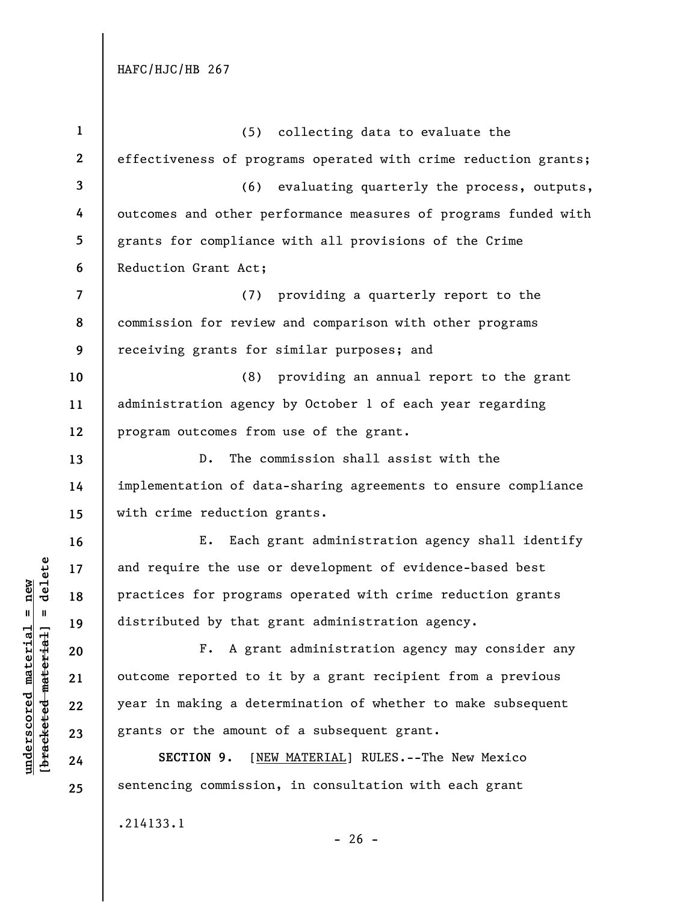**underscored material = new [bracketed material] = delete**

 $[bracketeed-materiat] = delete$  $underscored material = new$ 

| $\mathbf{1}$             | (5) collecting data to evaluate the                             |
|--------------------------|-----------------------------------------------------------------|
| $\mathbf{2}$             | effectiveness of programs operated with crime reduction grants; |
| 3                        | (6) evaluating quarterly the process, outputs,                  |
| 4                        | outcomes and other performance measures of programs funded with |
| 5                        | grants for compliance with all provisions of the Crime          |
| 6                        | Reduction Grant Act;                                            |
| $\overline{\mathcal{L}}$ | (7) providing a quarterly report to the                         |
| 8                        | commission for review and comparison with other programs        |
| 9                        | receiving grants for similar purposes; and                      |
| 10                       | (8)<br>providing an annual report to the grant                  |
| 11                       | administration agency by October 1 of each year regarding       |
| 12                       | program outcomes from use of the grant.                         |
| 13                       | The commission shall assist with the<br>D.                      |
| 14                       | implementation of data-sharing agreements to ensure compliance  |
| 15                       | with crime reduction grants.                                    |
| 16                       | Each grant administration agency shall identify<br>Ε.           |
| 17                       | and require the use or development of evidence-based best       |
| 18                       | practices for programs operated with crime reduction grants     |
| 19                       | distributed by that grant administration agency.                |
| 20                       | F. A grant administration agency may consider any               |
| 21                       | outcome reported to it by a grant recipient from a previous     |
| 22                       | year in making a determination of whether to make subsequent    |
| 23                       | grants or the amount of a subsequent grant.                     |
| 24                       | SECTION 9.<br>[NEW MATERIAL] RULES.--The New Mexico             |
| 25                       | sentencing commission, in consultation with each grant          |
|                          | .214133.1<br>$-26 -$                                            |